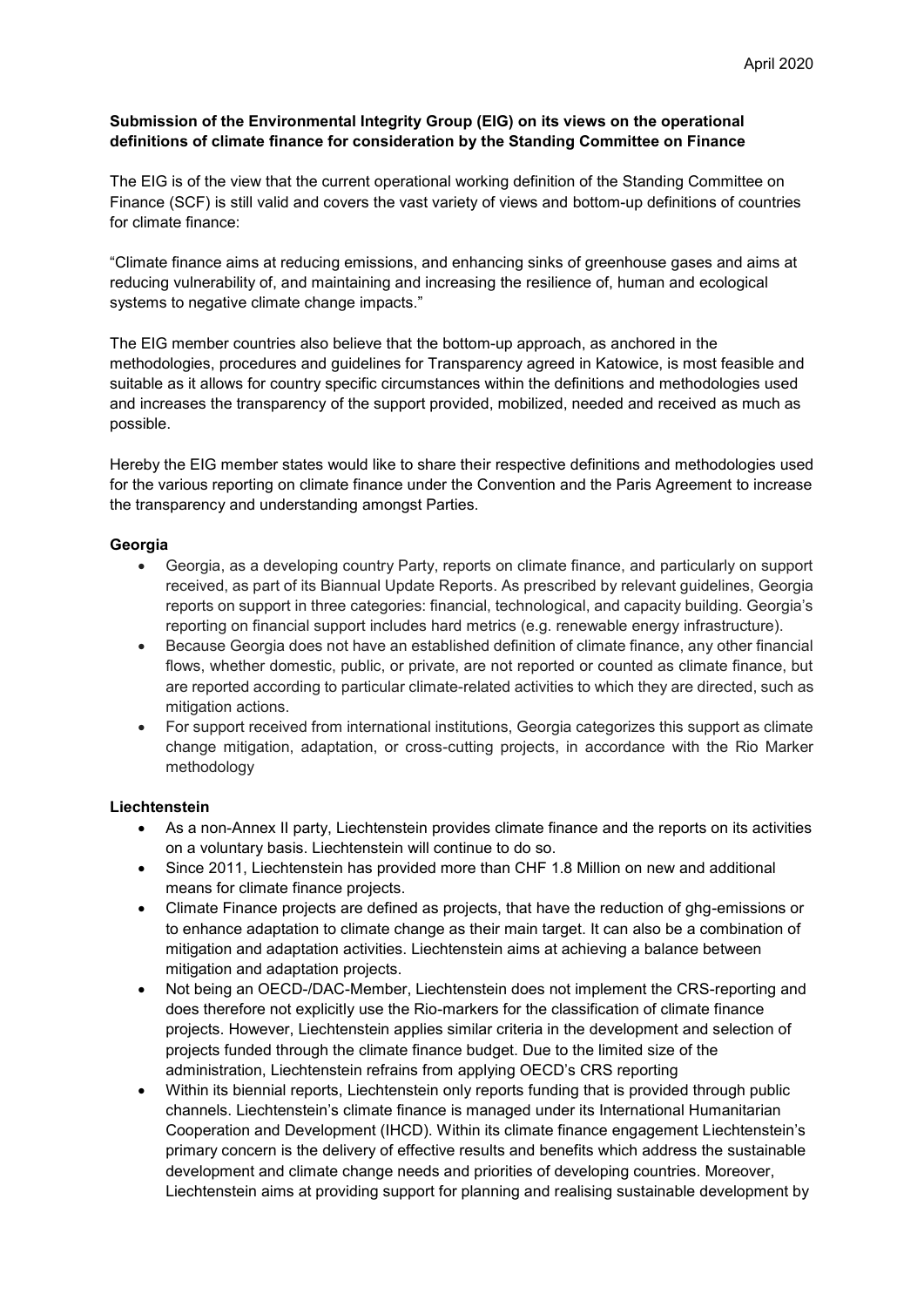## **Submission of the Environmental Integrity Group (EIG) on its views on the operational definitions of climate finance for consideration by the Standing Committee on Finance**

The EIG is of the view that the current operational working definition of the Standing Committee on Finance (SCF) is still valid and covers the vast variety of views and bottom-up definitions of countries for climate finance:

"Climate finance aims at reducing emissions, and enhancing sinks of greenhouse gases and aims at reducing vulnerability of, and maintaining and increasing the resilience of, human and ecological systems to negative climate change impacts."

The EIG member countries also believe that the bottom-up approach, as anchored in the methodologies, procedures and guidelines for Transparency agreed in Katowice, is most feasible and suitable as it allows for country specific circumstances within the definitions and methodologies used and increases the transparency of the support provided, mobilized, needed and received as much as possible.

Hereby the EIG member states would like to share their respective definitions and methodologies used for the various reporting on climate finance under the Convention and the Paris Agreement to increase the transparency and understanding amongst Parties.

# **Georgia**

- Georgia, as a developing country Party, reports on climate finance, and particularly on support received, as part of its Biannual Update Reports. As prescribed by relevant guidelines, Georgia reports on support in three categories: financial, technological, and capacity building. Georgia's reporting on financial support includes hard metrics (e.g. renewable energy infrastructure).
- Because Georgia does not have an established definition of climate finance, any other financial flows, whether domestic, public, or private, are not reported or counted as climate finance, but are reported according to particular climate-related activities to which they are directed, such as mitigation actions.
- For support received from international institutions, Georgia categorizes this support as climate change mitigation, adaptation, or cross-cutting projects, in accordance with the Rio Marker methodology

# **Liechtenstein**

- As a non-Annex II party, Liechtenstein provides climate finance and the reports on its activities on a voluntary basis. Liechtenstein will continue to do so.
- Since 2011, Liechtenstein has provided more than CHF 1.8 Million on new and additional means for climate finance projects.
- Climate Finance projects are defined as projects, that have the reduction of ghg-emissions or to enhance adaptation to climate change as their main target. It can also be a combination of mitigation and adaptation activities. Liechtenstein aims at achieving a balance between mitigation and adaptation projects.
- Not being an OECD-/DAC-Member, Liechtenstein does not implement the CRS-reporting and does therefore not explicitly use the Rio-markers for the classification of climate finance projects. However, Liechtenstein applies similar criteria in the development and selection of projects funded through the climate finance budget. Due to the limited size of the administration, Liechtenstein refrains from applying OECD's CRS reporting
- Within its biennial reports, Liechtenstein only reports funding that is provided through public channels. Liechtenstein's climate finance is managed under its International Humanitarian Cooperation and Development (IHCD). Within its climate finance engagement Liechtenstein's primary concern is the delivery of effective results and benefits which address the sustainable development and climate change needs and priorities of developing countries. Moreover, Liechtenstein aims at providing support for planning and realising sustainable development by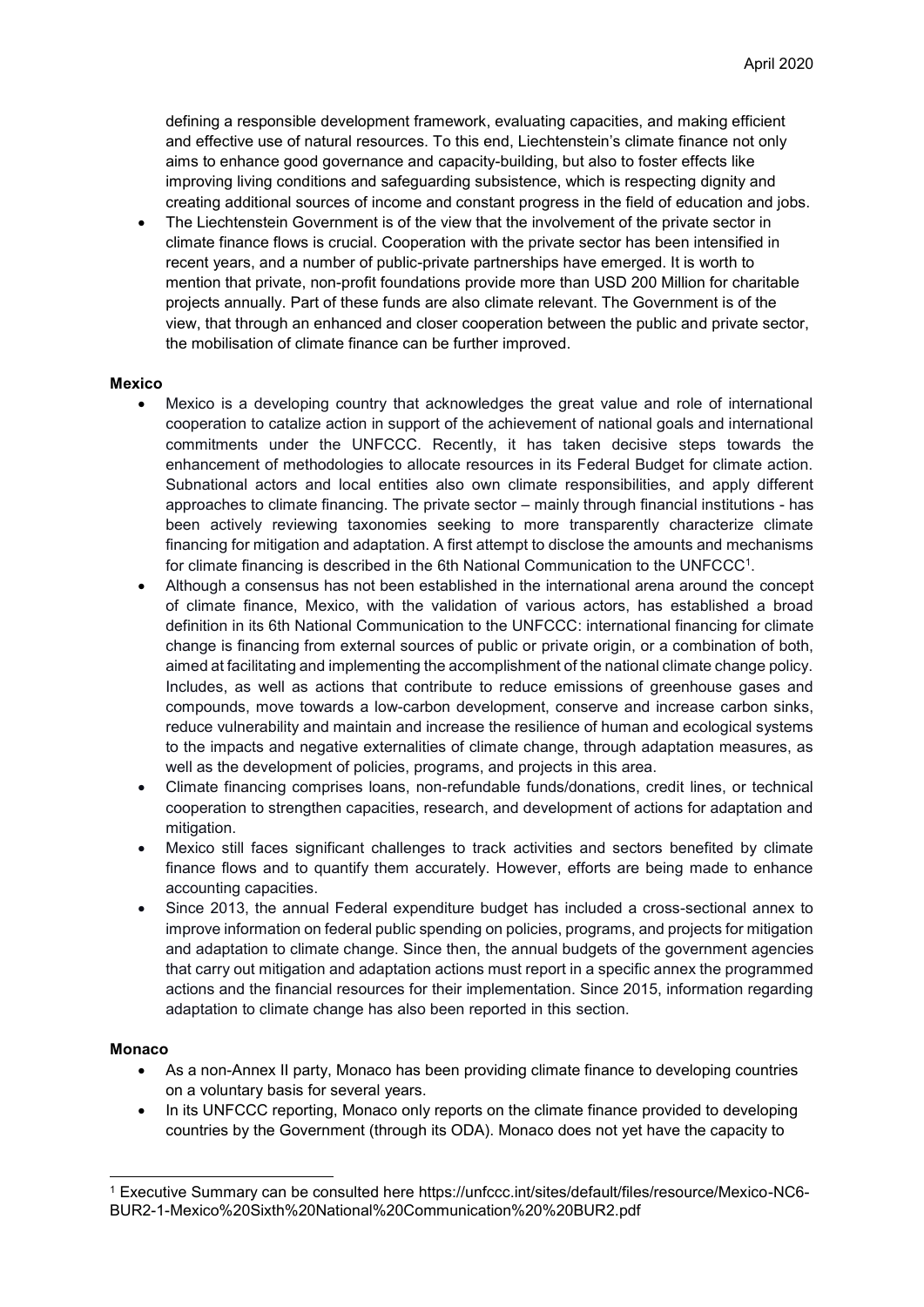defining a responsible development framework, evaluating capacities, and making efficient and effective use of natural resources. To this end, Liechtenstein's climate finance not only aims to enhance good governance and capacity-building, but also to foster effects like improving living conditions and safeguarding subsistence, which is respecting dignity and creating additional sources of income and constant progress in the field of education and jobs.

 The Liechtenstein Government is of the view that the involvement of the private sector in climate finance flows is crucial. Cooperation with the private sector has been intensified in recent years, and a number of public-private partnerships have emerged. It is worth to mention that private, non-profit foundations provide more than USD 200 Million for charitable projects annually. Part of these funds are also climate relevant. The Government is of the view, that through an enhanced and closer cooperation between the public and private sector, the mobilisation of climate finance can be further improved.

#### **Mexico**

- Mexico is a developing country that acknowledges the great value and role of international cooperation to catalize action in support of the achievement of national goals and international commitments under the UNFCCC. Recently, it has taken decisive steps towards the enhancement of methodologies to allocate resources in its Federal Budget for climate action. Subnational actors and local entities also own climate responsibilities, and apply different approaches to climate financing. The private sector – mainly through financial institutions - has been actively reviewing taxonomies seeking to more transparently characterize climate financing for mitigation and adaptation. A first attempt to disclose the amounts and mechanisms for climate financing is described in the 6th National Communication to the UNFCCC $^{\rm 1}$ .
- Although a consensus has not been established in the international arena around the concept of climate finance, Mexico, with the validation of various actors, has established a broad definition in its 6th National Communication to the UNFCCC: international financing for climate change is financing from external sources of public or private origin, or a combination of both, aimed at facilitating and implementing the accomplishment of the national climate change policy. Includes, as well as actions that contribute to reduce emissions of greenhouse gases and compounds, move towards a low-carbon development, conserve and increase carbon sinks, reduce vulnerability and maintain and increase the resilience of human and ecological systems to the impacts and negative externalities of climate change, through adaptation measures, as well as the development of policies, programs, and projects in this area.
- Climate financing comprises loans, non-refundable funds/donations, credit lines, or technical cooperation to strengthen capacities, research, and development of actions for adaptation and mitigation.
- Mexico still faces significant challenges to track activities and sectors benefited by climate finance flows and to quantify them accurately. However, efforts are being made to enhance accounting capacities.
- Since 2013, the annual Federal expenditure budget has included a cross-sectional annex to improve information on federal public spending on policies, programs, and projects for mitigation and adaptation to climate change. Since then, the annual budgets of the government agencies that carry out mitigation and adaptation actions must report in a specific annex the programmed actions and the financial resources for their implementation. Since 2015, information regarding adaptation to climate change has also been reported in this section.

## **Monaco**

1

- As a non-Annex II party, Monaco has been providing climate finance to developing countries on a voluntary basis for several years.
- In its UNFCCC reporting, Monaco only reports on the climate finance provided to developing countries by the Government (through its ODA). Monaco does not yet have the capacity to

<sup>1</sup> Executive Summary can be consulted here https://unfccc.int/sites/default/files/resource/Mexico-NC6- BUR2-1-Mexico%20Sixth%20National%20Communication%20%20BUR2.pdf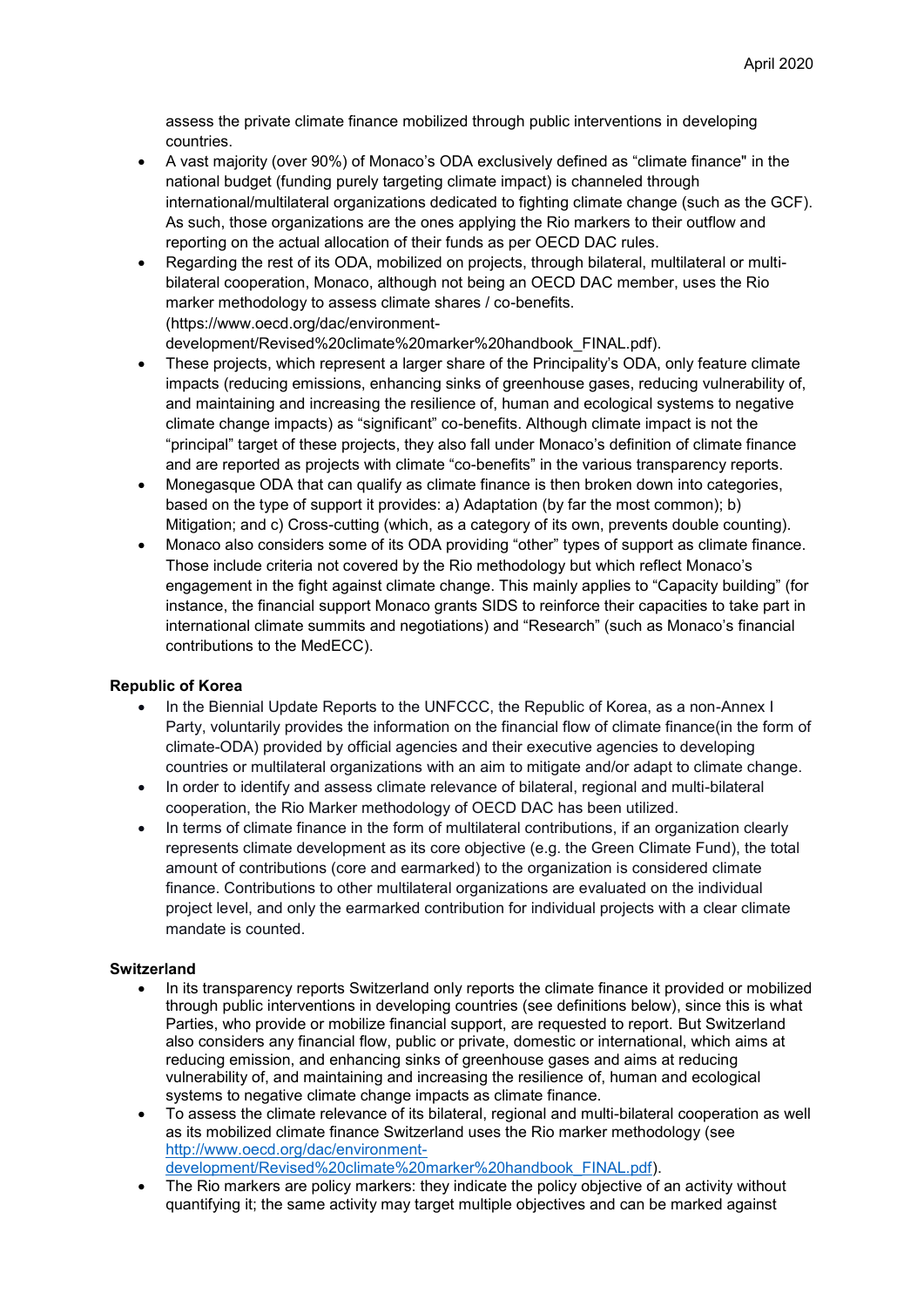assess the private climate finance mobilized through public interventions in developing countries.

- A vast majority (over 90%) of Monaco's ODA exclusively defined as "climate finance" in the national budget (funding purely targeting climate impact) is channeled through international/multilateral organizations dedicated to fighting climate change (such as the GCF). As such, those organizations are the ones applying the Rio markers to their outflow and reporting on the actual allocation of their funds as per OECD DAC rules.
- Regarding the rest of its ODA, mobilized on projects, through bilateral, multilateral or multibilateral cooperation, Monaco, although not being an OECD DAC member, uses the Rio marker methodology to assess climate shares / co-benefits. (https://www.oecd.org/dac/environmentdevelopment/Revised%20climate%20marker%20handbook\_FINAL.pdf).
- These projects, which represent a larger share of the Principality's ODA, only feature climate impacts (reducing emissions, enhancing sinks of greenhouse gases, reducing vulnerability of, and maintaining and increasing the resilience of, human and ecological systems to negative climate change impacts) as "significant" co-benefits. Although climate impact is not the "principal" target of these projects, they also fall under Monaco's definition of climate finance and are reported as projects with climate "co-benefits" in the various transparency reports.
- Monegasque ODA that can qualify as climate finance is then broken down into categories, based on the type of support it provides: a) Adaptation (by far the most common); b) Mitigation; and c) Cross-cutting (which, as a category of its own, prevents double counting).
- Monaco also considers some of its ODA providing "other" types of support as climate finance. Those include criteria not covered by the Rio methodology but which reflect Monaco's engagement in the fight against climate change. This mainly applies to "Capacity building" (for instance, the financial support Monaco grants SIDS to reinforce their capacities to take part in international climate summits and negotiations) and "Research" (such as Monaco's financial contributions to the MedECC).

## **Republic of Korea**

- In the Biennial Update Reports to the UNFCCC, the Republic of Korea, as a non-Annex I Party, voluntarily provides the information on the financial flow of climate finance(in the form of climate-ODA) provided by official agencies and their executive agencies to developing countries or multilateral organizations with an aim to mitigate and/or adapt to climate change.
- In order to identify and assess climate relevance of bilateral, regional and multi-bilateral cooperation, the Rio Marker methodology of OECD DAC has been utilized.
- In terms of climate finance in the form of multilateral contributions, if an organization clearly represents climate development as its core objective (e.g. the Green Climate Fund), the total amount of contributions (core and earmarked) to the organization is considered climate finance. Contributions to other multilateral organizations are evaluated on the individual project level, and only the earmarked contribution for individual projects with a clear climate mandate is counted.

## **Switzerland**

- In its transparency reports Switzerland only reports the climate finance it provided or mobilized through public interventions in developing countries (see definitions below), since this is what Parties, who provide or mobilize financial support, are requested to report. But Switzerland also considers any financial flow, public or private, domestic or international, which aims at reducing emission, and enhancing sinks of greenhouse gases and aims at reducing vulnerability of, and maintaining and increasing the resilience of, human and ecological systems to negative climate change impacts as climate finance.
- To assess the climate relevance of its bilateral, regional and multi-bilateral cooperation as well as its mobilized climate finance Switzerland uses the Rio marker methodology (see [http://www.oecd.org/dac/environment](http://www.oecd.org/dac/environment-development/Revised%20climate%20marker%20handbook_FINAL.pdf)[development/Revised%20climate%20marker%20handbook\\_FINAL.pdf\)](http://www.oecd.org/dac/environment-development/Revised%20climate%20marker%20handbook_FINAL.pdf).
- The Rio markers are policy markers: they indicate the policy objective of an activity without quantifying it; the same activity may target multiple objectives and can be marked against